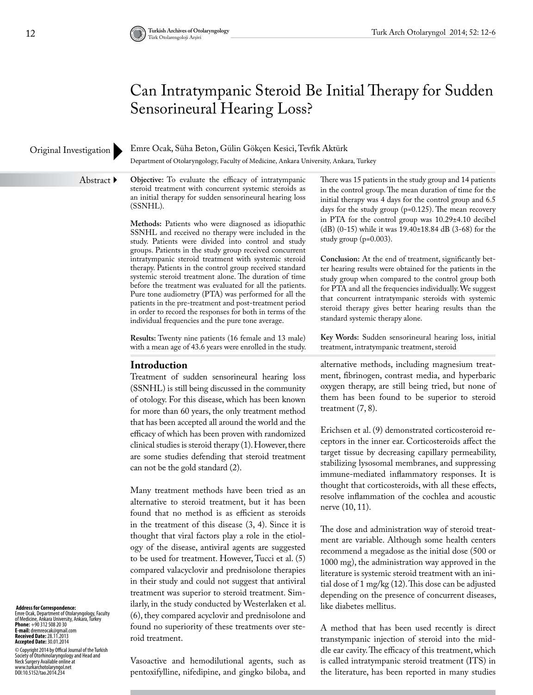# Can Intratympanic Steroid Be Initial Therapy for Sudden Sensorineural Hearing Loss?

# Original Investigation

Emre Ocak, Süha Beton, Gülin Gökçen Kesici, Tevfik Aktürk

Department of Otolaryngology, Faculty of Medicine, Ankara University, Ankara, Turkey

Abstract ▶

**Objective:** To evaluate the efficacy of intratympanic steroid treatment with concurrent systemic steroids as an initial therapy for sudden sensorineural hearing loss (SSNHL).

**Methods:** Patients who were diagnosed as idiopathic SSNHL and received no therapy were included in the study. Patients were divided into control and study groups. Patients in the study group received concurrent intratympanic steroid treatment with systemic steroid therapy. Patients in the control group received standard systemic steroid treatment alone. The duration of time before the treatment was evaluated for all the patients. Pure tone audiometry (PTA) was performed for all the patients in the pre-treatment and post-treatment period in order to record the responses for both in terms of the individual frequencies and the pure tone average.

**Results:** Twenty nine patients (16 female and 13 male) with a mean age of 43.6 years were enrolled in the study.

## **Introduction**

Treatment of sudden sensorineural hearing loss (SSNHL) is still being discussed in the community of otology. For this disease, which has been known for more than 60 years, the only treatment method that has been accepted all around the world and the efficacy of which has been proven with randomized clinical studies is steroid therapy (1). However, there are some studies defending that steroid treatment can not be the gold standard (2).

Many treatment methods have been tried as an alternative to steroid treatment, but it has been found that no method is as efficient as steroids in the treatment of this disease (3, 4). Since it is thought that viral factors play a role in the etiology of the disease, antiviral agents are suggested to be used for treatment. However, Tucci et al. (5) compared valacyclovir and prednisolone therapies in their study and could not suggest that antiviral treatment was superior to steroid treatment. Similarly, in the study conducted by Westerlaken et al. (6), they compared acyclovir and prednisolone and found no superiority of these treatments over steroid treatment.

There was 15 patients in the study group and 14 patients in the control group. The mean duration of time for the initial therapy was 4 days for the control group and 6.5 days for the study group (p=0.125). The mean recovery in PTA for the control group was 10.29±4.10 decibel (dB) (0-15) while it was 19.40±18.84 dB (3-68) for the study group (p=0.003).

**Conclusion:** At the end of treatment, significantly better hearing results were obtained for the patients in the study group when compared to the control group both for PTA and all the frequencies individually. We suggest that concurrent intratympanic steroids with systemic steroid therapy gives better hearing results than the standard systemic therapy alone.

**Key Words:** Sudden sensorineural hearing loss, initial treatment, intratympanic treatment, steroid

alternative methods, including magnesium treatment, fibrinogen, contrast media, and hyperbaric oxygen therapy, are still being tried, but none of them has been found to be superior to steroid treatment (7, 8).

Erichsen et al. (9) demonstrated corticosteroid receptors in the inner ear. Corticosteroids affect the target tissue by decreasing capillary permeability, stabilizing lysosomal membranes, and suppressing immune-mediated inflammatory responses. It is thought that corticosteroids, with all these effects, resolve inflammation of the cochlea and acoustic nerve (10, 11).

The dose and administration way of steroid treatment are variable. Although some health centers recommend a megadose as the initial dose (500 or 1000 mg), the administration way approved in the literature is systemic steroid treatment with an initial dose of 1 mg/kg (12). This dose can be adjusted depending on the presence of concurrent diseases, like diabetes mellitus.

A method that has been used recently is direct transtympanic injection of steroid into the middle ear cavity. The efficacy of this treatment, which is called intratympanic steroid treatment (ITS) in the literature, has been reported in many studies

 **Address for Correspondence:** 

Emre Ocak, Department of Otolaryngology, Faculty<br>of Medicine, Ankara University, Ankara, Turkey<br>**Phone:** +90 312 508 20 30<br>**E-mail:** dremreocak@gmail.com **Received Date:** 28.11.2013 **Accepted Date:** 30.01.2014

© Copyright 2014 by Offical Journal of the Turkish<br>Neckety of Otorhinolaryngology and Head and<br>Neck Surgery Available online at<br>www.turkarchotolaryngol.net<br>DOI:10.5152/tao.2014.234

Vasoactive and hemodilutional agents, such as pentoxifylline, nifedipine, and gingko biloba, and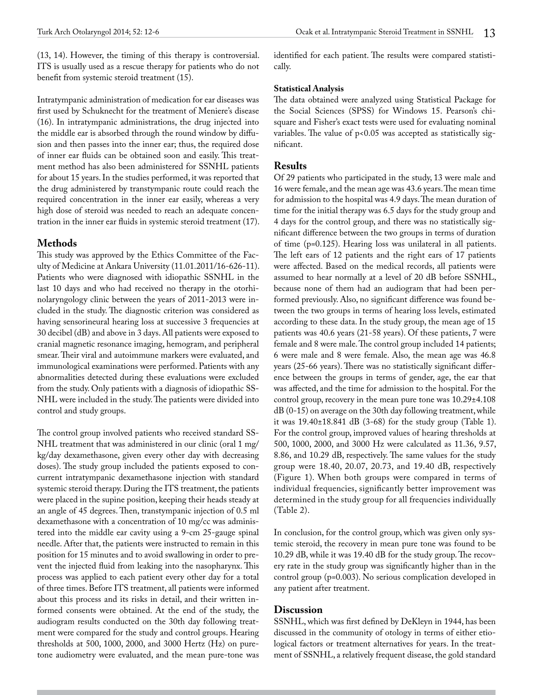(13, 14). However, the timing of this therapy is controversial. ITS is usually used as a rescue therapy for patients who do not benefit from systemic steroid treatment (15).

Intratympanic administration of medication for ear diseases was first used by Schuknecht for the treatment of Meniere's disease (16). In intratympanic administrations, the drug injected into the middle ear is absorbed through the round window by diffusion and then passes into the inner ear; thus, the required dose of inner ear fluids can be obtained soon and easily. This treatment method has also been administered for SSNHL patients for about 15 years. In the studies performed, it was reported that the drug administered by transtympanic route could reach the required concentration in the inner ear easily, whereas a very high dose of steroid was needed to reach an adequate concentration in the inner ear fluids in systemic steroid treatment (17).

## **Methods**

This study was approved by the Ethics Committee of the Faculty of Medicine at Ankara University (11.01.2011/16-626-11). Patients who were diagnosed with idiopathic SSNHL in the last 10 days and who had received no therapy in the otorhinolaryngology clinic between the years of 2011-2013 were included in the study. The diagnostic criterion was considered as having sensorineural hearing loss at successive 3 frequencies at 30 decibel (dB) and above in 3 days. All patients were exposed to cranial magnetic resonance imaging, hemogram, and peripheral smear. Their viral and autoimmune markers were evaluated, and immunological examinations were performed. Patients with any abnormalities detected during these evaluations were excluded from the study. Only patients with a diagnosis of idiopathic SS-NHL were included in the study. The patients were divided into control and study groups.

The control group involved patients who received standard SS-NHL treatment that was administered in our clinic (oral 1 mg/ kg/day dexamethasone, given every other day with decreasing doses). The study group included the patients exposed to concurrent intratympanic dexamethasone injection with standard systemic steroid therapy. During the ITS treatment, the patients were placed in the supine position, keeping their heads steady at an angle of 45 degrees. Then, transtympanic injection of 0.5 ml dexamethasone with a concentration of 10 mg/cc was administered into the middle ear cavity using a 9-cm 25-gauge spinal needle. After that, the patients were instructed to remain in this position for 15 minutes and to avoid swallowing in order to prevent the injected fluid from leaking into the nasopharynx. This process was applied to each patient every other day for a total of three times. Before ITS treatment, all patients were informed about this process and its risks in detail, and their written informed consents were obtained. At the end of the study, the audiogram results conducted on the 30th day following treatment were compared for the study and control groups. Hearing thresholds at 500, 1000, 2000, and 3000 Hertz (Hz) on puretone audiometry were evaluated, and the mean pure-tone was identified for each patient. The results were compared statistically.

#### **Statistical Analysis**

The data obtained were analyzed using Statistical Package for the Social Sciences (SPSS) for Windows 15. Pearson's chisquare and Fisher's exact tests were used for evaluating nominal variables. The value of p<0.05 was accepted as statistically significant.

## **Results**

Of 29 patients who participated in the study, 13 were male and 16 were female, and the mean age was 43.6 years. The mean time for admission to the hospital was 4.9 days. The mean duration of time for the initial therapy was 6.5 days for the study group and 4 days for the control group, and there was no statistically significant difference between the two groups in terms of duration of time (p=0.125). Hearing loss was unilateral in all patients. The left ears of 12 patients and the right ears of 17 patients were affected. Based on the medical records, all patients were assumed to hear normally at a level of 20 dB before SSNHL, because none of them had an audiogram that had been performed previously. Also, no significant difference was found between the two groups in terms of hearing loss levels, estimated according to these data. In the study group, the mean age of 15 patients was 40.6 years (21-58 years). Of these patients, 7 were female and 8 were male. The control group included 14 patients; 6 were male and 8 were female. Also, the mean age was 46.8 years (25-66 years). There was no statistically significant difference between the groups in terms of gender, age, the ear that was affected, and the time for admission to the hospital. For the control group, recovery in the mean pure tone was 10.29±4.108 dB (0-15) on average on the 30th day following treatment, while it was 19.40±18.841 dB (3-68) for the study group (Table 1). For the control group, improved values of hearing thresholds at 500, 1000, 2000, and 3000 Hz were calculated as 11.36, 9.57, 8.86, and 10.29 dB, respectively. The same values for the study group were 18.40, 20.07, 20.73, and 19.40 dB, respectively (Figure 1). When both groups were compared in terms of individual frequencies, significantly better improvement was determined in the study group for all frequencies individually (Table 2).

In conclusion, for the control group, which was given only systemic steroid, the recovery in mean pure tone was found to be 10.29 dB, while it was 19.40 dB for the study group. The recovery rate in the study group was significantly higher than in the control group (p=0.003). No serious complication developed in any patient after treatment.

## **Discussion**

SSNHL, which was first defined by DeKleyn in 1944, has been discussed in the community of otology in terms of either etiological factors or treatment alternatives for years. In the treatment of SSNHL, a relatively frequent disease, the gold standard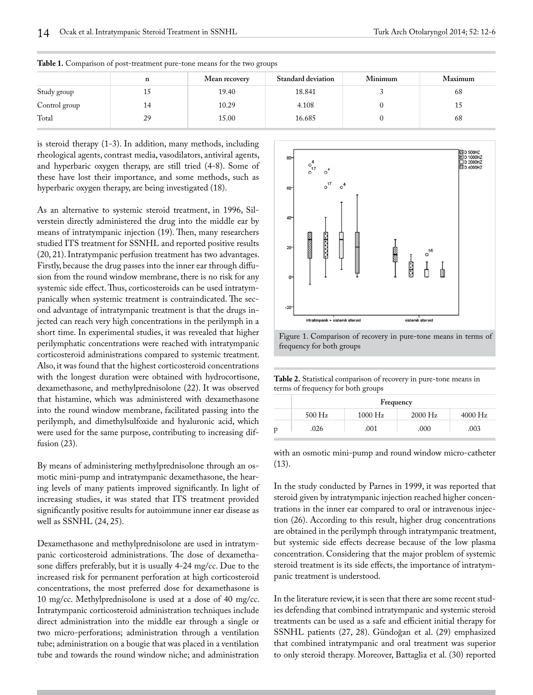|               | n  | Mean recovery | <b>Standard deviation</b> | Minimum | Maximum |
|---------------|----|---------------|---------------------------|---------|---------|
| Study group   |    | 19.40         | 18.841                    |         | 68      |
| Control group | 14 | 10.29         | 4.108                     |         |         |
| Total         | 29 | 15.00         | 16.685                    |         | 68      |

**Table 1.** Comparison of post-treatment pure-tone means for the two groups

is steroid therapy (1-3). In addition, many methods, including rheological agents, contrast media, vasodilators, antiviral agents, and hyperbaric oxygen therapy, are still tried (4-8). Some of these have lost their importance, and some methods, such as hyperbaric oxygen therapy, are being investigated (18).

As an alternative to systemic steroid treatment, in 1996, Silverstein directly administered the drug into the middle ear by means of intratympanic injection (19). Then, many researchers studied ITS treatment for SSNHL and reported positive results (20, 21). Intratympanic perfusion treatment has two advantages. Firstly, because the drug passes into the inner ear through diffusion from the round window membrane, there is no risk for any systemic side effect. Thus, corticosteroids can be used intratympanically when systemic treatment is contraindicated. The second advantage of intratympanic treatment is that the drugs injected can reach very high concentrations in the perilymph in a short time. In experimental studies, it was revealed that higher perilymphatic concentrations were reached with intratympanic corticosteroid administrations compared to systemic treatment. Also, it was found that the highest corticosteroid concentrations with the longest duration were obtained with hydrocortisone, dexamethasone, and methylprednisolone (22). It was observed that histamine, which was administered with dexamethasone into the round window membrane, facilitated passing into the perilymph, and dimethylsulfoxide and hyaluronic acid, which were used for the same purpose, contributing to increasing diffusion (23).

By means of administering methylprednisolone through an osmotic mini-pump and intratympanic dexamethasone, the hearing levels of many patients improved significantly. In light of increasing studies, it was stated that ITS treatment provided significantly positive results for autoimmune inner ear disease as well as SSNHL (24, 25).

Dexamethasone and methylprednisolone are used in intratympanic corticosteroid administrations. The dose of dexamethasone differs preferably, but it is usually 4-24 mg/cc. Due to the increased risk for permanent perforation at high corticosteroid concentrations, the most preferred dose for dexamethasone is 10 mg/cc. Methylprednisolone is used at a dose of 40 mg/cc. Intratympanic corticosteroid administration techniques include direct administration into the middle ear through a single or two micro-perforations; administration through a ventilation tube; administration on a bougie that was placed in a ventilation tube and towards the round window niche; and administration



Figure 1. Comparison of recovery in pure-tone means in terms of frequency for both groups

**Table 2.** Statistical comparison of recovery in pure-tone means in terms of frequency for both groups

|   | Frequency |           |           |           |  |  |
|---|-----------|-----------|-----------|-----------|--|--|
|   | $500$ Hz  | $1000$ Hz | $2000$ Hz | $4000$ Hz |  |  |
| p | .026      | .001      | .000      | .003      |  |  |

with an osmotic mini-pump and round window micro-catheter (13).

In the study conducted by Parnes in 1999, it was reported that steroid given by intratympanic injection reached higher concentrations in the inner ear compared to oral or intravenous injection (26). According to this result, higher drug concentrations are obtained in the perilymph through intratympanic treatment, but systemic side effects decrease because of the low plasma concentration. Considering that the major problem of systemic steroid treatment is its side effects, the importance of intratympanic treatment is understood.

In the literature review, it is seen that there are some recent studies defending that combined intratympanic and systemic steroid treatments can be used as a safe and efficient initial therapy for SSNHL patients (27, 28). Gündoğan et al. (29) emphasized that combined intratympanic and oral treatment was superior to only steroid therapy. Moreover, Battaglia et al. (30) reported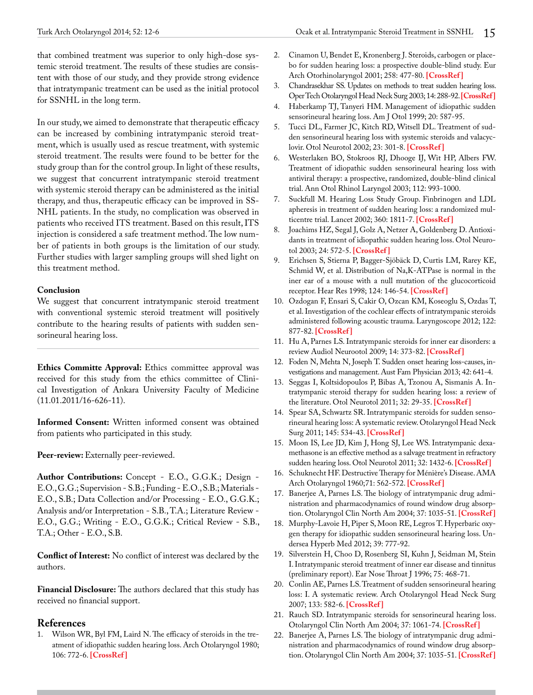that combined treatment was superior to only high-dose systemic steroid treatment. The results of these studies are consistent with those of our study, and they provide strong evidence that intratympanic treatment can be used as the initial protocol for SSNHL in the long term.

In our study, we aimed to demonstrate that therapeutic efficacy can be increased by combining intratympanic steroid treatment, which is usually used as rescue treatment, with systemic steroid treatment. The results were found to be better for the study group than for the control group. In light of these results, we suggest that concurrent intratympanic steroid treatment with systemic steroid therapy can be administered as the initial therapy, and thus, therapeutic efficacy can be improved in SS-NHL patients. In the study, no complication was observed in patients who received ITS treatment. Based on this result, ITS injection is considered a safe treatment method. The low number of patients in both groups is the limitation of our study. Further studies with larger sampling groups will shed light on this treatment method.

# **Conclusion**

We suggest that concurrent intratympanic steroid treatment with conventional systemic steroid treatment will positively contribute to the hearing results of patients with sudden sensorineural hearing loss.

**Ethics Committe Approval:** Ethics committee approval was received for this study from the ethics committee of Clinical Investigation of Ankara University Faculty of Medicine (11.01.2011/16-626-11).

**Informed Consent:** Written informed consent was obtained from patients who participated in this study.

Peer-review: Externally peer-reviewed.

**Author Contributions:** Concept - E.O., G.G.K.; Design - E.O., G.G.; Supervision - S.B.; Funding - E.O., S.B.; Materials - E.O., S.B.; Data Collection and/or Processing - E.O., G.G.K.; Analysis and/or Interpretation - S.B., T.A.; Literature Review - E.O., G.G.; Writing - E.O., G.G.K.; Critical Review - S.B., T.A.; Other - E.O., S.B.

**Conflict of Interest:** No conflict of interest was declared by the authors.

**Financial Disclosure:** The authors declared that this study has received no financial support.

# **References**

1. Wilson WR, Byl FM, Laird N. The efficacy of steroids in the treatment of idiopathic sudden hearing loss. Arch Otolaryngol 1980; 106: 772-6. **[\[CrossRef \]](http://dx.doi.org/10.1001/archotol.1980.00790360050013)**

- 2. Cinamon U, Bendet E, Kronenberg J. Steroids, carbogen or placebo for sudden hearing loss: a prospective double-blind study. Eur Arch Otorhinolaryngol 2001; 258: 477-80. **[\[CrossRef \]](http://dx.doi.org/10.1007/s004050100366)**
- 3. Chandrasekhar SS. Updates on methods to treat sudden hearing loss. Oper Tech Otolaryngol Head Neck Surg 2003; 14: 288-92. **[\[CrossRef\]](http://dx.doi.org/10.1053/S1043-1810(03)00099-X)**
- 4. Haberkamp TJ, Tanyeri HM. Management of idiopathic sudden sensorineural hearing loss. Am J Otol 1999; 20: 587-95.
- 5. Tucci DL, Farmer JC, Kitch RD, Witsell DL. Treatment of sudden sensorineural hearing loss with systemic steroids and valacyclovir. Otol Neurotol 2002; 23: 301-8. **[\[CrossRef \]](http://dx.doi.org/10.1097/00129492-200205000-00012)**
- 6. Westerlaken BO, Stokroos RJ, Dhooge IJ, Wit HP, Albers FW. Treatment of idiopathic sudden sensorineural hearing loss with antiviral therapy: a prospective, randomized, double-blind clinical trial. Ann Otol Rhinol Laryngol 2003; 112: 993-1000.
- 7. Suckfull M. Hearing Loss Study Group. Finbrinogen and LDL apheresis in treatment of sudden hearing loss: a randomized multicentre trial. Lancet 2002; 360: 1811-7. **[[CrossRef](http://dx.doi.org/10.1016/S0140-6736(02)11768-5) ]**
- 8. Joachims HZ, Segal J, Golz A, Netzer A, Goldenberg D. Antioxidants in treatment of idiopathic sudden hearing loss. Otol Neurotol 2003; 24: 572-5. **[[CrossRef](http://dx.doi.org/10.1097/00129492-200307000-00007) ]**
- 9. Erichsen S, Stierna P, Bagger-Sjöbäck D, Curtis LM, Rarey KE, Schmid W, et al. Distribution of Na,K-ATPase is normal in the iner ear of a mouse with a null mutation of the glucocorticoid receptor. Hear Res 1998; 124: 146-54. **[[CrossRef](http://dx.doi.org/10.1016/S0378-5955(98)00117-8) ]**
- 10. Ozdogan F, Ensari S, Cakir O, Ozcan KM, Koseoglu S, Ozdas T, et al. Investigation of the cochlear effects of intratympanic steroids administered following acoustic trauma. Laryngoscope 2012; 122: 877-82. **[\[CrossRef \]](http://dx.doi.org/10.1002/lary.23185)**
- 11. Hu A, Parnes LS. Intratympanic steroids for inner ear disorders: a review Audiol Neurootol 2009; 14: 373-82. **[\[CrossRef \]](http://dx.doi.org/10.1159/000241894)**
- 12. Foden N, Mehta N, Joseph T. Sudden onset hearing loss-causes, investigations and management. Aust Fam Physician 2013; 42: 641-4.
- 13. Seggas I, Koltsidopoulos P, Bibas A, Tzonou A, Sismanis A. Intratympanic steroid therapy for sudden hearing loss: a review of the literature. Otol Neurotol 2011; 32: 29-35. **[\[CrossRef \]](http://dx.doi.org/10.1097/MAO.0b013e3181f7aba3)**
- 14. Spear SA, Schwartz SR. Intratympanic steroids for sudden sensorineural hearing loss: A systematic review. Otolaryngol Head Neck Surg 2011; 145: 534-43. **[[CrossRef](http://dx.doi.org/10.1177/0194599811419466) ]**
- 15. Moon IS, Lee JD, Kim J, Hong SJ, Lee WS. Intratympanic dexamethasone is an effective method as a salvage treatment in refractory sudden hearing loss. Otol Neurotol 2011; 32: 1432-6. **[\[CrossRef \]](http://dx.doi.org/10.1097/MAO.0b013e318238fc43)**
- 16. Schuknecht HF. Destructive Therapy for Ménière's Disease. AMA Arch Otolaryngol 1960;71: 562-572. **[[CrossRef](http://dx.doi.org/10.1001/archotol.1960.03770030204031) ]**
- 17. Banerjee A, Parnes LS. The biology of intratympanic drug administration and pharmacodynamics of round window drug absorption. Otolaryngol Clin North Am 2004; 37: 1035-51. **[\[CrossRef \]](http://dx.doi.org/10.1016/j.otc.2004.04.003)**
- 18. Murphy-Lavoie H, Piper S, Moon RE, Legros T. Hyperbaric oxygen therapy for idiopathic sudden sensorineural hearing loss. Undersea Hyperb Med 2012; 39: 777-92.
- 19. Silverstein H, Choo D, Rosenberg SI, Kuhn J, Seidman M, Stein I. Intratympanic steroid treatment of inner ear disease and tinnitus (preliminary report). Ear Nose Throat J 1996; 75: 468-71.
- 20. Conlin AE, Parnes LS. Treatment of sudden sensorineural hearing loss: I. A systematic review. Arch Otolaryngol Head Neck Surg 2007; 133: 582-6. **[\[CrossRef \]](http://dx.doi.org/10.1001/archotol.133.6.582)**
- 21. Rauch SD. Intratympanic steroids for sensorineural hearing loss. Otolaryngol Clin North Am 2004; 37: 1061-74. **[[CrossRef](http://dx.doi.org/10.1016/j.otc.2004.04.004) ]**
- 22. Banerjee A, Parnes LS. The biology of intratympanic drug administration and pharmacodynamics of round window drug absorption. Otolaryngol Clin North Am 2004; 37: 1035-51. **[\[CrossRef \]](http://dx.doi.org/10.1016/j.otc.2004.04.003)**